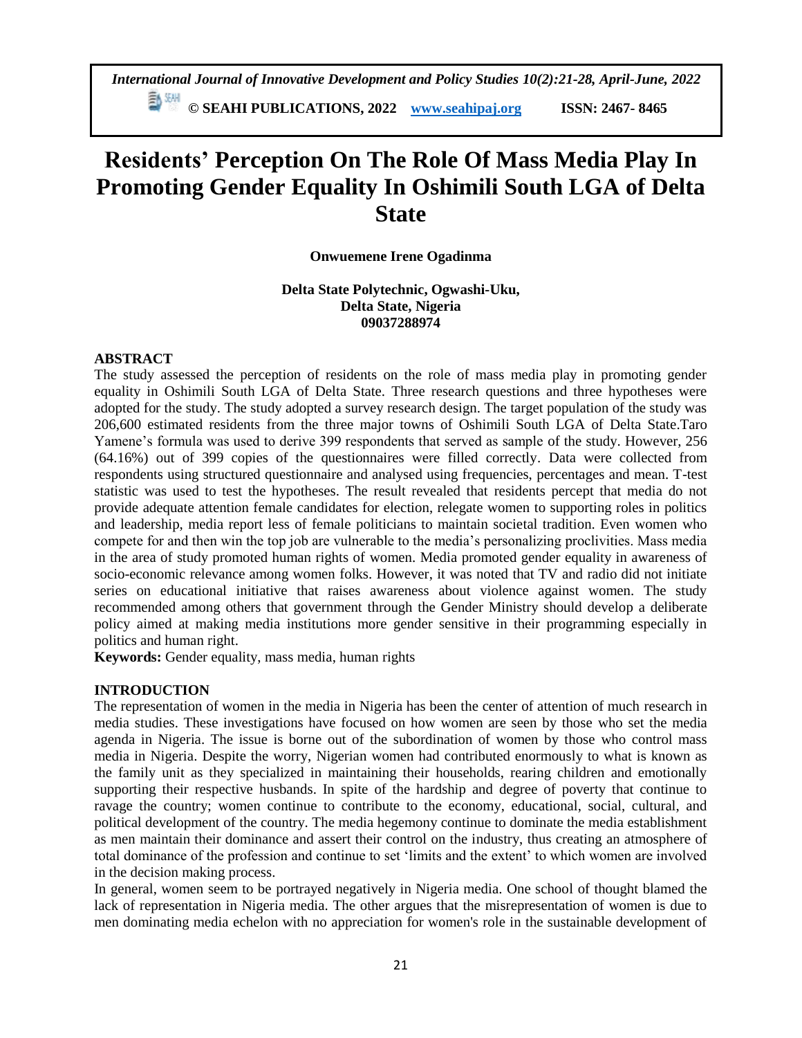**© SEAHI PUBLICATIONS, 2022 [www.seahipaj.org](http://www.seahipaj.org/) ISSN: 2467- 8465**

# **Residents' Perception On The Role Of Mass Media Play In Promoting Gender Equality In Oshimili South LGA of Delta State**

# **Onwuemene Irene Ogadinma**

**Delta State Polytechnic, Ogwashi-Uku, Delta State, Nigeria 09037288974**

## **ABSTRACT**

The study assessed the perception of residents on the role of mass media play in promoting gender equality in Oshimili South LGA of Delta State. Three research questions and three hypotheses were adopted for the study. The study adopted a survey research design. The target population of the study was 206,600 estimated residents from the three major towns of Oshimili South LGA of Delta State.Taro Yamene's formula was used to derive 399 respondents that served as sample of the study. However, 256 (64.16%) out of 399 copies of the questionnaires were filled correctly. Data were collected from respondents using structured questionnaire and analysed using frequencies, percentages and mean. T-test statistic was used to test the hypotheses. The result revealed that residents percept that media do not provide adequate attention female candidates for election, relegate women to supporting roles in politics and leadership, media report less of female politicians to maintain societal tradition. Even women who compete for and then win the top job are vulnerable to the media's personalizing proclivities. Mass media in the area of study promoted human rights of women. Media promoted gender equality in awareness of socio-economic relevance among women folks. However, it was noted that TV and radio did not initiate series on educational initiative that raises awareness about violence against women. The study recommended among others that government through the Gender Ministry should develop a deliberate policy aimed at making media institutions more gender sensitive in their programming especially in politics and human right.

**Keywords:** Gender equality, mass media, human rights

## **INTRODUCTION**

The representation of women in the media in Nigeria has been the center of attention of much research in media studies. These investigations have focused on how women are seen by those who set the media agenda in Nigeria. The issue is borne out of the subordination of women by those who control mass media in Nigeria. Despite the worry, Nigerian women had contributed enormously to what is known as the family unit as they specialized in maintaining their households, rearing children and emotionally supporting their respective husbands. In spite of the hardship and degree of poverty that continue to ravage the country; women continue to contribute to the economy, educational, social, cultural, and political development of the country. The media hegemony continue to dominate the media establishment as men maintain their dominance and assert their control on the industry, thus creating an atmosphere of total dominance of the profession and continue to set 'limits and the extent' to which women are involved in the decision making process.

In general, women seem to be portrayed negatively in Nigeria media. One school of thought blamed the lack of representation in Nigeria media. The other argues that the misrepresentation of women is due to men dominating media echelon with no appreciation for women's role in the sustainable development of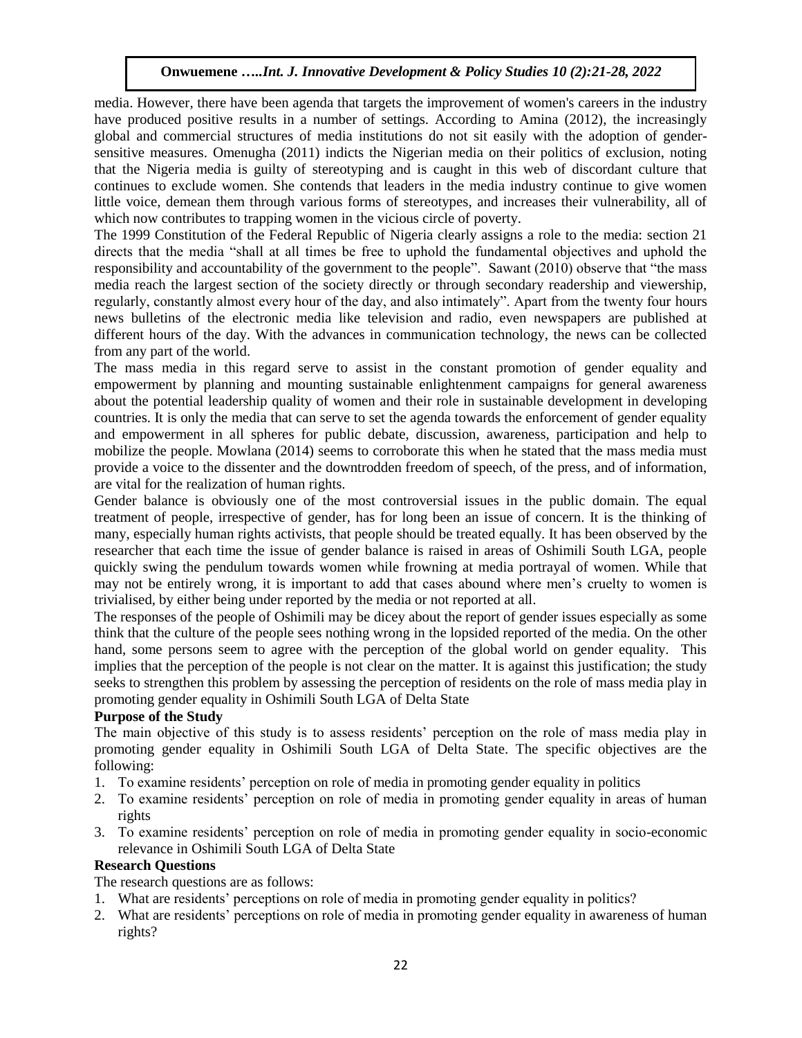media. However, there have been agenda that targets the improvement of women's careers in the industry have produced positive results in a number of settings. According to Amina (2012), the increasingly global and commercial structures of media institutions do not sit easily with the adoption of gendersensitive measures. Omenugha (2011) indicts the Nigerian media on their politics of exclusion, noting that the Nigeria media is guilty of stereotyping and is caught in this web of discordant culture that continues to exclude women. She contends that leaders in the media industry continue to give women little voice, demean them through various forms of stereotypes, and increases their vulnerability, all of which now contributes to trapping women in the vicious circle of poverty.

The 1999 Constitution of the Federal Republic of Nigeria clearly assigns a role to the media: section 21 directs that the media "shall at all times be free to uphold the fundamental objectives and uphold the responsibility and accountability of the government to the people". Sawant (2010) observe that "the mass media reach the largest section of the society directly or through secondary readership and viewership, regularly, constantly almost every hour of the day, and also intimately". Apart from the twenty four hours news bulletins of the electronic media like television and radio, even newspapers are published at different hours of the day. With the advances in communication technology, the news can be collected from any part of the world.

The mass media in this regard serve to assist in the constant promotion of gender equality and empowerment by planning and mounting sustainable enlightenment campaigns for general awareness about the potential leadership quality of women and their role in sustainable development in developing countries. It is only the media that can serve to set the agenda towards the enforcement of gender equality and empowerment in all spheres for public debate, discussion, awareness, participation and help to mobilize the people. Mowlana (2014) seems to corroborate this when he stated that the mass media must provide a voice to the dissenter and the downtrodden freedom of speech, of the press, and of information, are vital for the realization of human rights.

Gender balance is obviously one of the most controversial issues in the public domain. The equal treatment of people, irrespective of gender, has for long been an issue of concern. It is the thinking of many, especially human rights activists, that people should be treated equally. It has been observed by the researcher that each time the issue of gender balance is raised in areas of Oshimili South LGA, people quickly swing the pendulum towards women while frowning at media portrayal of women. While that may not be entirely wrong, it is important to add that cases abound where men's cruelty to women is trivialised, by either being under reported by the media or not reported at all.

The responses of the people of Oshimili may be dicey about the report of gender issues especially as some think that the culture of the people sees nothing wrong in the lopsided reported of the media. On the other hand, some persons seem to agree with the perception of the global world on gender equality. This implies that the perception of the people is not clear on the matter. It is against this justification; the study seeks to strengthen this problem by assessing the perception of residents on the role of mass media play in promoting gender equality in Oshimili South LGA of Delta State

## **Purpose of the Study**

The main objective of this study is to assess residents' perception on the role of mass media play in promoting gender equality in Oshimili South LGA of Delta State. The specific objectives are the following:

- 1. To examine residents' perception on role of media in promoting gender equality in politics
- 2. To examine residents' perception on role of media in promoting gender equality in areas of human rights
- 3. To examine residents' perception on role of media in promoting gender equality in socio-economic relevance in Oshimili South LGA of Delta State

# **Research Questions**

The research questions are as follows:

- 1. What are residents' perceptions on role of media in promoting gender equality in politics?
- 2. What are residents' perceptions on role of media in promoting gender equality in awareness of human rights?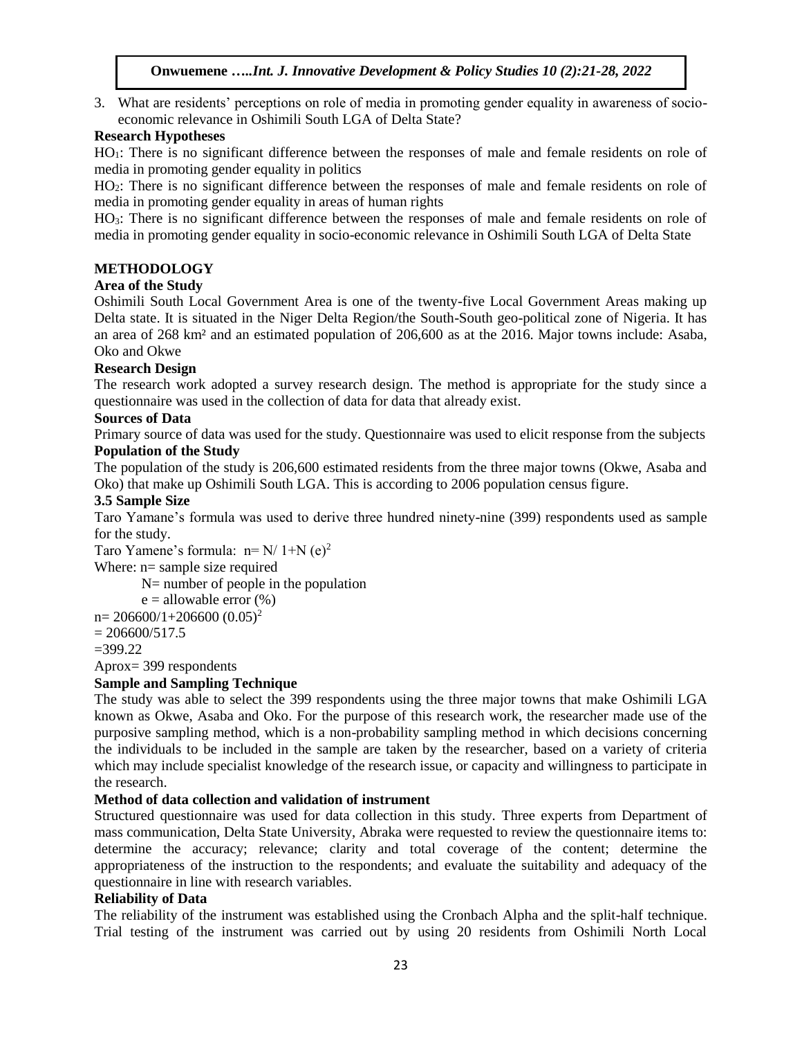3. What are residents' perceptions on role of media in promoting gender equality in awareness of socioeconomic relevance in Oshimili South LGA of Delta State?

## **Research Hypotheses**

HO1: There is no significant difference between the responses of male and female residents on role of media in promoting gender equality in politics

HO2: There is no significant difference between the responses of male and female residents on role of media in promoting gender equality in areas of human rights

HO3: There is no significant difference between the responses of male and female residents on role of media in promoting gender equality in socio-economic relevance in Oshimili South LGA of Delta State

## **METHODOLOGY**

## **Area of the Study**

Oshimili South Local Government Area is one of the twenty-five Local Government Areas making up Delta state. It is situated in the Niger Delta Region/the South-South geo-political zone of Nigeria. It has an area of 268 km² and an estimated population of 206,600 as at the 2016. Major towns include: Asaba, Oko and Okwe

## **Research Design**

The research work adopted a survey research design. The method is appropriate for the study since a questionnaire was used in the collection of data for data that already exist.

## **Sources of Data**

Primary source of data was used for the study. Questionnaire was used to elicit response from the subjects **Population of the Study**

The population of the study is 206,600 estimated residents from the three major towns (Okwe, Asaba and Oko) that make up Oshimili South LGA. This is according to 2006 population census figure.

## **3.5 Sample Size**

Taro Yamane's formula was used to derive three hundred ninety-nine (399) respondents used as sample for the study.

Taro Yamene's formula:  $n=N/1+N$  (e)<sup>2</sup>

Where:  $n=$  sample size required

N= number of people in the population

 $e =$  allowable error  $(\%)$ 

 $n= 206600/1+206600 (0.05)^2$ 

 $= 206600/517.5$ 

 $=399.22$ 

Aprox= 399 respondents

## **Sample and Sampling Technique**

The study was able to select the 399 respondents using the three major towns that make Oshimili LGA known as Okwe, Asaba and Oko. For the purpose of this research work, the researcher made use of the purposive sampling method, which is a non-probability sampling method in which decisions concerning the individuals to be included in the sample are taken by the researcher, based on a variety of criteria which may include specialist knowledge of the research issue, or capacity and willingness to participate in the research.

## **Method of data collection and validation of instrument**

Structured questionnaire was used for data collection in this study. Three experts from Department of mass communication, Delta State University, Abraka were requested to review the questionnaire items to: determine the accuracy; relevance; clarity and total coverage of the content; determine the appropriateness of the instruction to the respondents; and evaluate the suitability and adequacy of the questionnaire in line with research variables.

## **Reliability of Data**

The reliability of the instrument was established using the Cronbach Alpha and the split-half technique. Trial testing of the instrument was carried out by using 20 residents from Oshimili North Local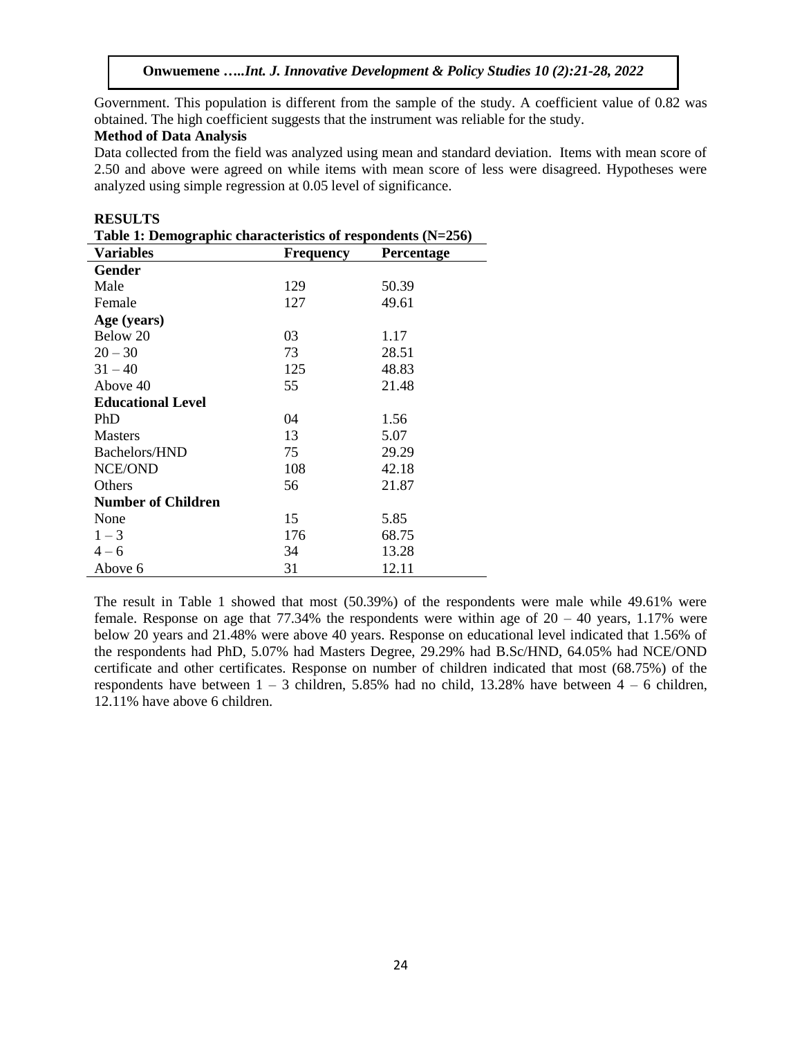**Onwuemene …***..Int. J. Innovative Development & Policy Studies 10 (2):21-28, 2022*

Government. This population is different from the sample of the study. A coefficient value of 0.82 was obtained. The high coefficient suggests that the instrument was reliable for the study.

#### **Method of Data Analysis**

**RESULTS** 

Data collected from the field was analyzed using mean and standard deviation. Items with mean score of 2.50 and above were agreed on while items with mean score of less were disagreed. Hypotheses were analyzed using simple regression at 0.05 level of significance.

| Table 1: Demographic characteristics of respondents $(N=256)$ |                  |            |  |  |  |  |  |
|---------------------------------------------------------------|------------------|------------|--|--|--|--|--|
| <b>Variables</b>                                              | <b>Frequency</b> | Percentage |  |  |  |  |  |
| Gender                                                        |                  |            |  |  |  |  |  |
| Male                                                          | 129              | 50.39      |  |  |  |  |  |
| Female                                                        | 127              | 49.61      |  |  |  |  |  |
| Age (years)                                                   |                  |            |  |  |  |  |  |
| Below 20                                                      | 03               | 1.17       |  |  |  |  |  |
| $20 - 30$                                                     | 73               | 28.51      |  |  |  |  |  |
| $31 - 40$                                                     | 125              | 48.83      |  |  |  |  |  |
| Above 40                                                      | 55               | 21.48      |  |  |  |  |  |
| <b>Educational Level</b>                                      |                  |            |  |  |  |  |  |
| PhD                                                           | 04               | 1.56       |  |  |  |  |  |
| <b>Masters</b>                                                | 13               | 5.07       |  |  |  |  |  |
| Bachelors/HND                                                 | 75               | 29.29      |  |  |  |  |  |
| NCE/OND                                                       | 108              | 42.18      |  |  |  |  |  |
| Others                                                        | 56               | 21.87      |  |  |  |  |  |
| <b>Number of Children</b>                                     |                  |            |  |  |  |  |  |
| None                                                          | 15               | 5.85       |  |  |  |  |  |
| $1 - 3$                                                       | 176              | 68.75      |  |  |  |  |  |
| $4 - 6$                                                       | 34               | 13.28      |  |  |  |  |  |
| Above 6                                                       | 31               | 12.11      |  |  |  |  |  |

| KESULIS.                                                      |  |
|---------------------------------------------------------------|--|
| Table 1: Demographic characteristics of respondents $(N=256)$ |  |

The result in Table 1 showed that most (50.39%) of the respondents were male while 49.61% were female. Response on age that 77.34% the respondents were within age of  $20 - 40$  years, 1.17% were below 20 years and 21.48% were above 40 years. Response on educational level indicated that 1.56% of the respondents had PhD, 5.07% had Masters Degree, 29.29% had B.Sc/HND, 64.05% had NCE/OND certificate and other certificates. Response on number of children indicated that most (68.75%) of the respondents have between  $1 - 3$  children, 5.85% had no child, 13.28% have between  $4 - 6$  children, 12.11% have above 6 children.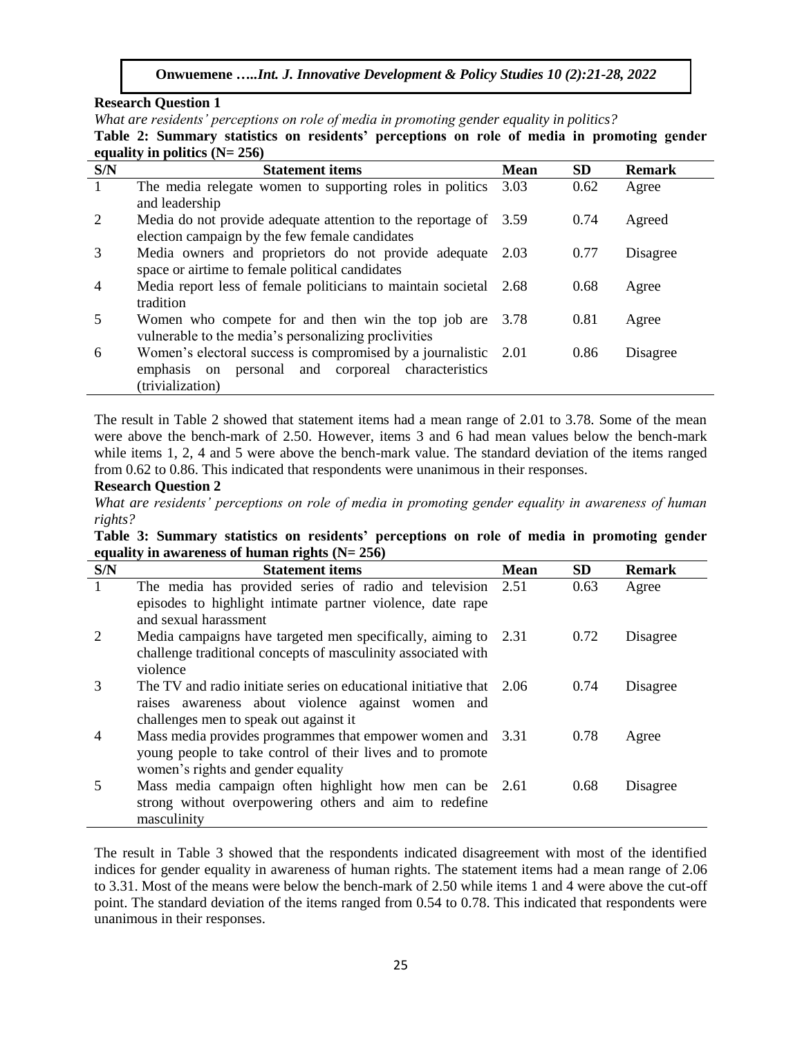**Onwuemene …***..Int. J. Innovative Development & Policy Studies 10 (2):21-28, 2022*

#### **Research Question 1**

*What are residents' perceptions on role of media in promoting gender equality in politics?*

**Table 2: Summary statistics on residents' perceptions on role of media in promoting gender equality in politics (N= 256)**

| S/N            | <b>Statement items</b>                                            | <b>Mean</b> | <b>SD</b> | <b>Remark</b> |
|----------------|-------------------------------------------------------------------|-------------|-----------|---------------|
| $\overline{1}$ | The media relegate women to supporting roles in politics          | 3.03        | 0.62      | Agree         |
|                | and leadership                                                    |             |           |               |
| $\overline{2}$ | Media do not provide adequate attention to the reportage of 3.59  |             | 0.74      | Agreed        |
|                | election campaign by the few female candidates                    |             |           |               |
| 3              | Media owners and proprietors do not provide adequate 2.03         |             | 0.77      | Disagree      |
|                | space or airtime to female political candidates                   |             |           |               |
| $\overline{4}$ | Media report less of female politicians to maintain societal 2.68 |             | 0.68      | Agree         |
|                | tradition                                                         |             |           |               |
| 5              | Women who compete for and then win the top job are 3.78           |             | 0.81      | Agree         |
|                | vulnerable to the media's personalizing proclivities              |             |           |               |
| 6              | Women's electoral success is compromised by a journalistic 2.01   |             | 0.86      | Disagree      |
|                | emphasis on personal and corporeal characteristics                |             |           |               |
|                | (trivialization)                                                  |             |           |               |

The result in Table 2 showed that statement items had a mean range of 2.01 to 3.78. Some of the mean were above the bench-mark of 2.50. However, items 3 and 6 had mean values below the bench-mark while items 1, 2, 4 and 5 were above the bench-mark value. The standard deviation of the items ranged from 0.62 to 0.86. This indicated that respondents were unanimous in their responses.

## **Research Question 2**

*What are residents' perceptions on role of media in promoting gender equality in awareness of human rights?*

| Table 3: Summary statistics on residents' perceptions on role of media in promoting gender |  |  |  |
|--------------------------------------------------------------------------------------------|--|--|--|
| equality in awareness of human rights $(N = 256)$                                          |  |  |  |

| S/N            | <b>Statement items</b>                                                                                                                                              | <b>Mean</b> | <b>SD</b> | <b>Remark</b> |
|----------------|---------------------------------------------------------------------------------------------------------------------------------------------------------------------|-------------|-----------|---------------|
| $\mathbf{1}$   | The media has provided series of radio and television 2.51<br>episodes to highlight intimate partner violence, date rape<br>and sexual harassment                   |             | 0.63      | Agree         |
| 2              | Media campaigns have targeted men specifically, aiming to 2.31<br>challenge traditional concepts of masculinity associated with<br>violence                         |             | 0.72      | Disagree      |
| 3              | The TV and radio initiate series on educational initiative that 2.06<br>raises awareness about violence against women and<br>challenges men to speak out against it |             | 0.74      | Disagree      |
| $\overline{4}$ | Mass media provides programmes that empower women and 3.31<br>young people to take control of their lives and to promote<br>women's rights and gender equality      |             | 0.78      | Agree         |
| 5              | Mass media campaign often highlight how men can be 2.61<br>strong without overpowering others and aim to redefine<br>masculinity                                    |             | 0.68      | Disagree      |

The result in Table 3 showed that the respondents indicated disagreement with most of the identified indices for gender equality in awareness of human rights. The statement items had a mean range of 2.06 to 3.31. Most of the means were below the bench-mark of 2.50 while items 1 and 4 were above the cut-off point. The standard deviation of the items ranged from 0.54 to 0.78. This indicated that respondents were unanimous in their responses.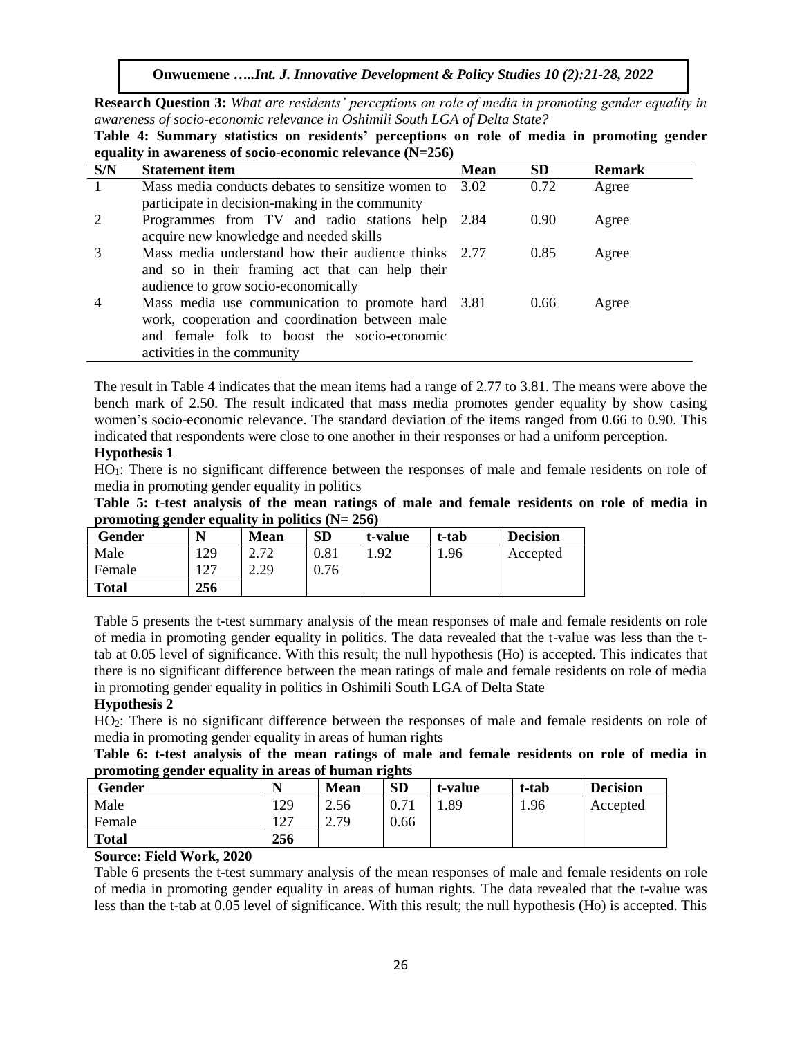**Onwuemene …***..Int. J. Innovative Development & Policy Studies 10 (2):21-28, 2022*

**Research Question 3:** *What are residents' perceptions on role of media in promoting gender equality in awareness of socio-economic relevance in Oshimili South LGA of Delta State?*

**S/N Statement item Mean SD Remark** 1 Mass media conducts debates to sensitize women to participate in decision-making in the community 3.02 0.72 Agree 2 Programmes from TV and radio stations help acquire new knowledge and needed skills 2.84 0.90 Agree 3 Mass media understand how their audience thinks and so in their framing act that can help their audience to grow socio-economically 2.77 0.85 Agree 4 Mass media use communication to promote hard work, cooperation and coordination between male and female folk to boost the socio-economic activities in the community 0.66 Agree

**Table 4: Summary statistics on residents' perceptions on role of media in promoting gender equality in awareness of socio-economic relevance (N=256)**

The result in Table 4 indicates that the mean items had a range of 2.77 to 3.81. The means were above the bench mark of 2.50. The result indicated that mass media promotes gender equality by show casing women's socio-economic relevance. The standard deviation of the items ranged from 0.66 to 0.90. This indicated that respondents were close to one another in their responses or had a uniform perception.

# **Hypothesis 1**

HO1: There is no significant difference between the responses of male and female residents on role of media in promoting gender equality in politics

**Table 5: t**-**test analysis of the mean ratings of male and female residents on role of media in promoting gender equality in politics (N= 256)**

| $\sim$<br>Gender |     | <b>Mean</b> | <b>SD</b> | t-value | t-tab | <b>Decision</b> |
|------------------|-----|-------------|-----------|---------|-------|-----------------|
| Male             | 129 | 2.72        | 0.81      | .92     | 1.96  | Accepted        |
| Female           | 127 | 2.29        | 0.76      |         |       |                 |
| <b>Total</b>     | 256 |             |           |         |       |                 |

Table 5 presents the t-test summary analysis of the mean responses of male and female residents on role of media in promoting gender equality in politics. The data revealed that the t-value was less than the ttab at 0.05 level of significance. With this result; the null hypothesis (Ho) is accepted. This indicates that there is no significant difference between the mean ratings of male and female residents on role of media in promoting gender equality in politics in Oshimili South LGA of Delta State

## **Hypothesis 2**

HO2: There is no significant difference between the responses of male and female residents on role of media in promoting gender equality in areas of human rights

**Table 6: t-test analysis of the mean ratings of male and female residents on role of media in promoting gender equality in areas of human rights**

| Gender       |               | <b>Mean</b> | <b>SD</b> | t-value | t-tab | <b>Decision</b> |
|--------------|---------------|-------------|-----------|---------|-------|-----------------|
| Male         | 129           | 2.56        | 0.71      | . 89    | 1.96  | Accepted        |
| Female       | $\sim$<br>12. | 2.79        | 0.66      |         |       |                 |
| <b>Total</b> | 256           |             |           |         |       |                 |

## **Source: Field Work, 2020**

Table 6 presents the t-test summary analysis of the mean responses of male and female residents on role of media in promoting gender equality in areas of human rights. The data revealed that the t-value was less than the t-tab at 0.05 level of significance. With this result; the null hypothesis (Ho) is accepted. This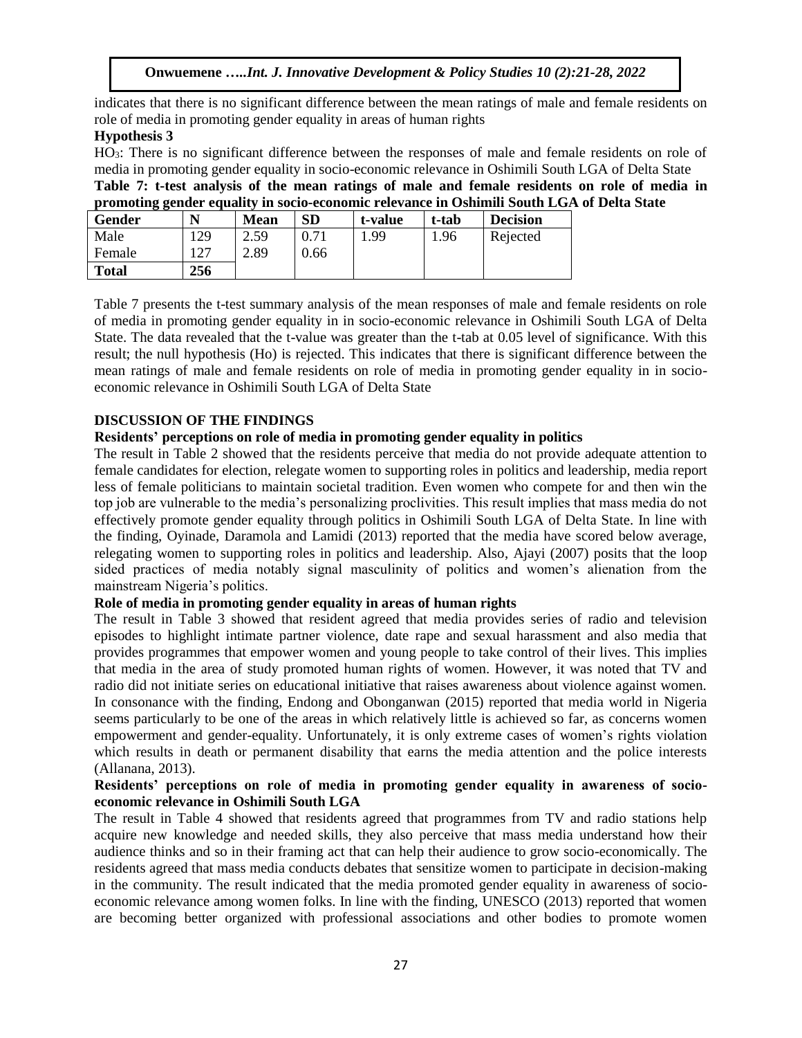indicates that there is no significant difference between the mean ratings of male and female residents on role of media in promoting gender equality in areas of human rights

# **Hypothesis 3**

HO3: There is no significant difference between the responses of male and female residents on role of media in promoting gender equality in socio-economic relevance in Oshimili South LGA of Delta State **Table 7: t-test analysis of the mean ratings of male and female residents on role of media in promoting gender equality in socio-economic relevance in Oshimili South LGA of Delta State**

| Gender       | N   | <b>Mean</b> | <b>SD</b> | t-value | t-tab | <b>Decision</b> |
|--------------|-----|-------------|-----------|---------|-------|-----------------|
| Male         | 29  | 2.59        |           | .99     | 1.96  | Rejected        |
| Female       | n מ | 2.89        | 0.66      |         |       |                 |
| <b>Total</b> | 256 |             |           |         |       |                 |

Table 7 presents the t-test summary analysis of the mean responses of male and female residents on role of media in promoting gender equality in in socio-economic relevance in Oshimili South LGA of Delta State. The data revealed that the t-value was greater than the t-tab at 0.05 level of significance. With this result; the null hypothesis (Ho) is rejected. This indicates that there is significant difference between the mean ratings of male and female residents on role of media in promoting gender equality in in socioeconomic relevance in Oshimili South LGA of Delta State

## **DISCUSSION OF THE FINDINGS**

## **Residents' perceptions on role of media in promoting gender equality in politics**

The result in Table 2 showed that the residents perceive that media do not provide adequate attention to female candidates for election, relegate women to supporting roles in politics and leadership, media report less of female politicians to maintain societal tradition. Even women who compete for and then win the top job are vulnerable to the media's personalizing proclivities. This result implies that mass media do not effectively promote gender equality through politics in Oshimili South LGA of Delta State. In line with the finding, Oyinade, Daramola and Lamidi (2013) reported that the media have scored below average, relegating women to supporting roles in politics and leadership. Also, Ajayi (2007) posits that the loop sided practices of media notably signal masculinity of politics and women's alienation from the mainstream Nigeria's politics.

## **Role of media in promoting gender equality in areas of human rights**

The result in Table 3 showed that resident agreed that media provides series of radio and television episodes to highlight intimate partner violence, date rape and sexual harassment and also media that provides programmes that empower women and young people to take control of their lives. This implies that media in the area of study promoted human rights of women. However, it was noted that TV and radio did not initiate series on educational initiative that raises awareness about violence against women. In consonance with the finding, Endong and Obonganwan (2015) reported that media world in Nigeria seems particularly to be one of the areas in which relatively little is achieved so far, as concerns women empowerment and gender-equality. Unfortunately, it is only extreme cases of women's rights violation which results in death or permanent disability that earns the media attention and the police interests (Allanana, 2013).

## **Residents' perceptions on role of media in promoting gender equality in awareness of socioeconomic relevance in Oshimili South LGA**

The result in Table 4 showed that residents agreed that programmes from TV and radio stations help acquire new knowledge and needed skills, they also perceive that mass media understand how their audience thinks and so in their framing act that can help their audience to grow socio-economically. The residents agreed that mass media conducts debates that sensitize women to participate in decision-making in the community. The result indicated that the media promoted gender equality in awareness of socioeconomic relevance among women folks. In line with the finding, UNESCO (2013) reported that women are becoming better organized with professional associations and other bodies to promote women